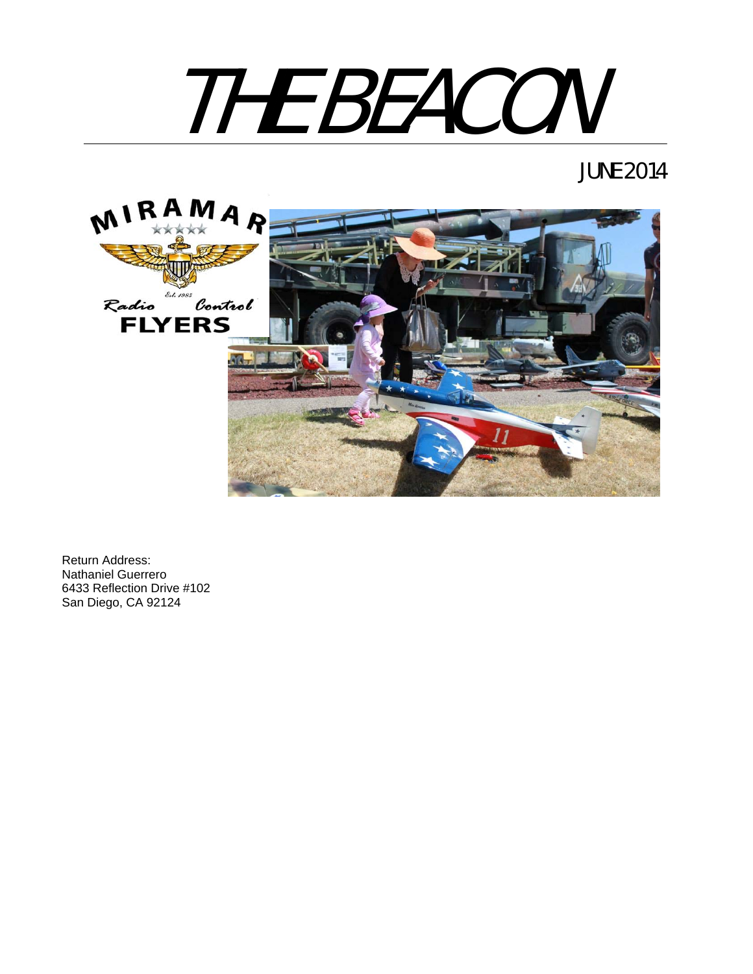

# JUNE 2014



Return Address: Nathaniel Guerrero 6433 Reflection Drive #102 San Diego, CA 92124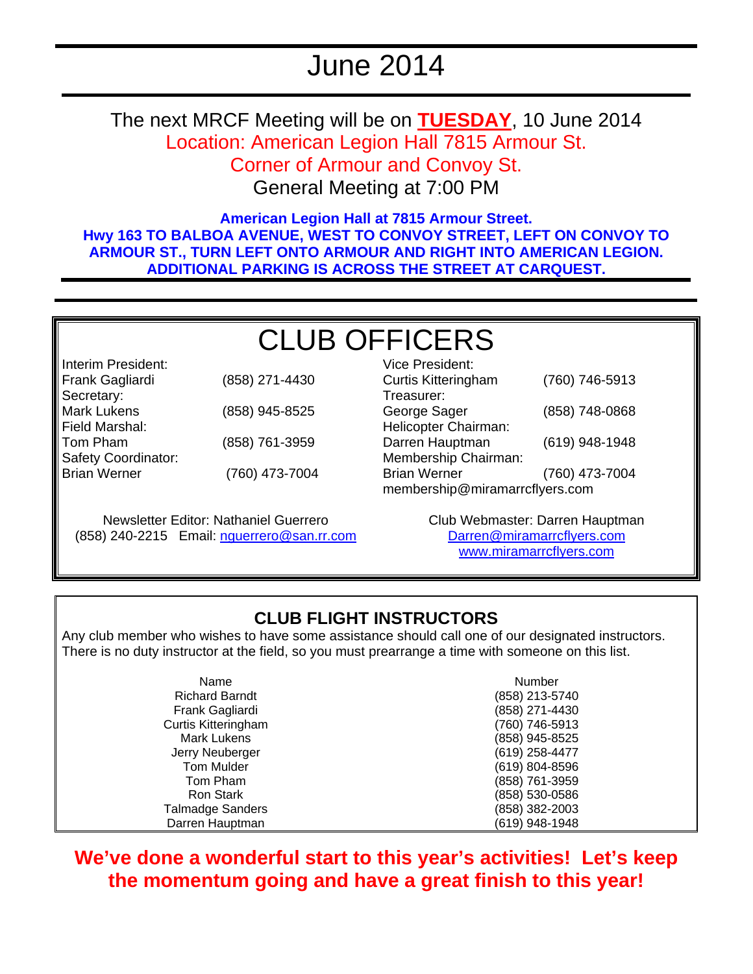# June 2014

The next MRCF Meeting will be on **TUESDAY**, 10 June 2014 Location: American Legion Hall 7815 Armour St. Corner of Armour and Convoy St.

General Meeting at 7:00 PM

**American Legion Hall at 7815 Armour Street. Hwy 163 TO BALBOA AVENUE, WEST TO CONVOY STREET, LEFT ON CONVOY TO ARMOUR ST., TURN LEFT ONTO ARMOUR AND RIGHT INTO AMERICAN LEGION. ADDITIONAL PARKING IS ACROSS THE STREET AT CARQUEST.** 

# CLUB OFFICERS

| ililehiti Filesiyetil. |                |
|------------------------|----------------|
| Frank Gagliardi        | (858) 271-4430 |
| Secretary:             |                |
| <b>Mark Lukens</b>     | (858) 945-8525 |
| Field Marshal:         |                |
| Tom Pham               | (858) 761-3959 |
| Safety Coordinator:    |                |
| <b>Brian Werner</b>    | (760) 473-7004 |
|                        |                |

Interim President:

Newsletter Editor: Nathaniel Guerrero (858) 240-2215 Email: nguerrero@san.rr.com

Vice President: Curtis Kitteringham (760) 746-5913 Treasurer: George Sager (858) 748-0868 Helicopter Chairman: Darren Hauptman (619) 948-1948 Membership Chairman: Brian Werner (760) 473-7004 membership@miramarrcflyers.com

> Club Webmaster: Darren Hauptman Darren@miramarrcflyers.com www.miramarrcflyers.com

### **CLUB FLIGHT INSTRUCTORS**

Any club member who wishes to have some assistance should call one of our designated instructors. There is no duty instructor at the field, so you must prearrange a time with someone on this list.

| Name                       | Number         |
|----------------------------|----------------|
| <b>Richard Barndt</b>      | (858) 213-5740 |
| Frank Gagliardi            | (858) 271-4430 |
| <b>Curtis Kitteringham</b> | (760) 746-5913 |
| <b>Mark Lukens</b>         | (858) 945-8525 |
| Jerry Neuberger            | (619) 258-4477 |
| <b>Tom Mulder</b>          | (619) 804-8596 |
| Tom Pham                   | (858) 761-3959 |
| Ron Stark                  | (858) 530-0586 |
| <b>Talmadge Sanders</b>    | (858) 382-2003 |
| Darren Hauptman            | (619) 948-1948 |

# **We've done a wonderful start to this year's activities! Let's keep the momentum going and have a great finish to this year!**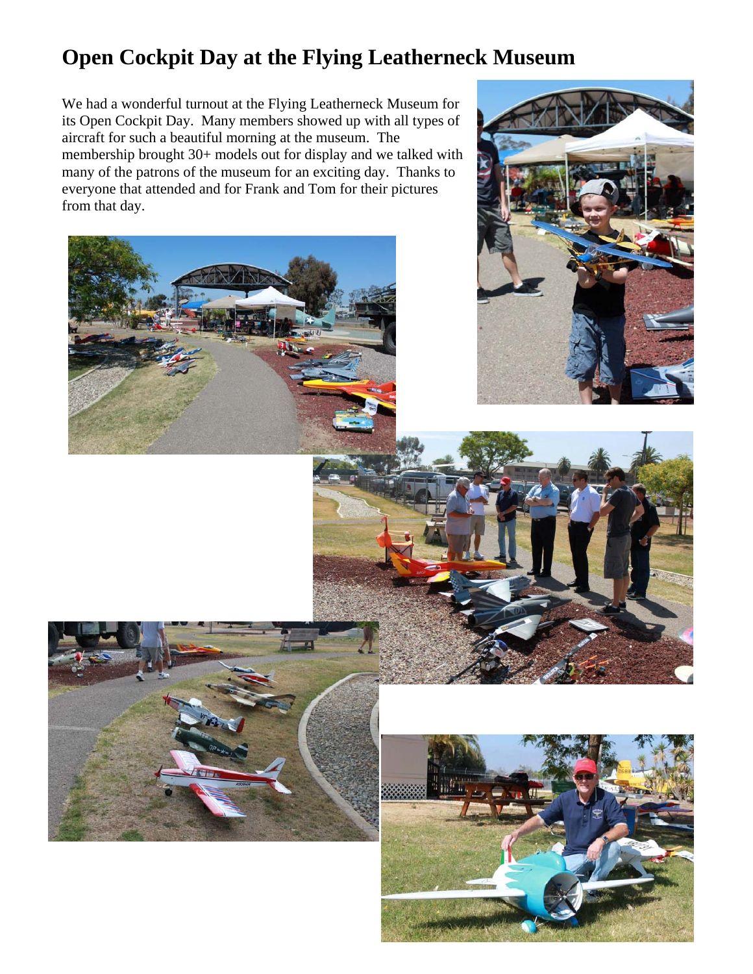# **Open Cockpit Day at the Flying Leatherneck Museum**

We had a wonderful turnout at the Flying Leatherneck Museum for its Open Cockpit Day. Many members showed up with all types of aircraft for such a beautiful morning at the museum. The membership brought 30+ models out for display and we talked with many of the patrons of the museum for an exciting day. Thanks to everyone that attended and for Frank and Tom for their pictures from that day.









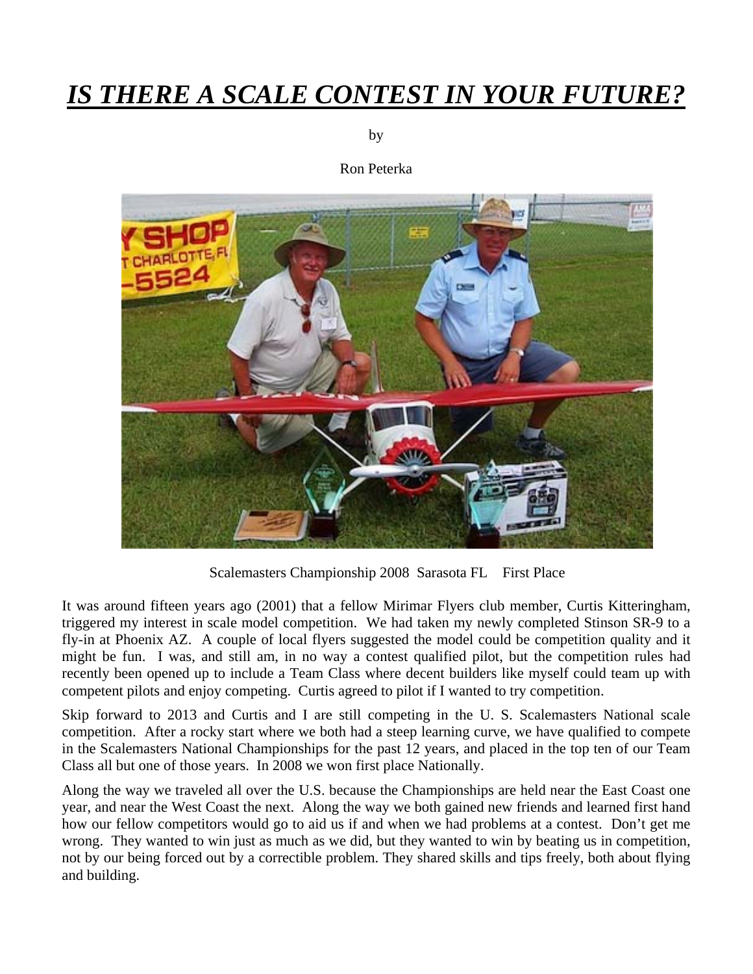# *IS THERE A SCALE CONTEST IN YOUR FUTURE?*

by

Ron Peterka



Scalemasters Championship 2008 Sarasota FL First Place

It was around fifteen years ago (2001) that a fellow Mirimar Flyers club member, Curtis Kitteringham, triggered my interest in scale model competition. We had taken my newly completed Stinson SR-9 to a fly-in at Phoenix AZ. A couple of local flyers suggested the model could be competition quality and it might be fun. I was, and still am, in no way a contest qualified pilot, but the competition rules had recently been opened up to include a Team Class where decent builders like myself could team up with competent pilots and enjoy competing. Curtis agreed to pilot if I wanted to try competition.

Skip forward to 2013 and Curtis and I are still competing in the U. S. Scalemasters National scale competition. After a rocky start where we both had a steep learning curve, we have qualified to compete in the Scalemasters National Championships for the past 12 years, and placed in the top ten of our Team Class all but one of those years. In 2008 we won first place Nationally.

Along the way we traveled all over the U.S. because the Championships are held near the East Coast one year, and near the West Coast the next. Along the way we both gained new friends and learned first hand how our fellow competitors would go to aid us if and when we had problems at a contest. Don't get me wrong. They wanted to win just as much as we did, but they wanted to win by beating us in competition, not by our being forced out by a correctible problem. They shared skills and tips freely, both about flying and building.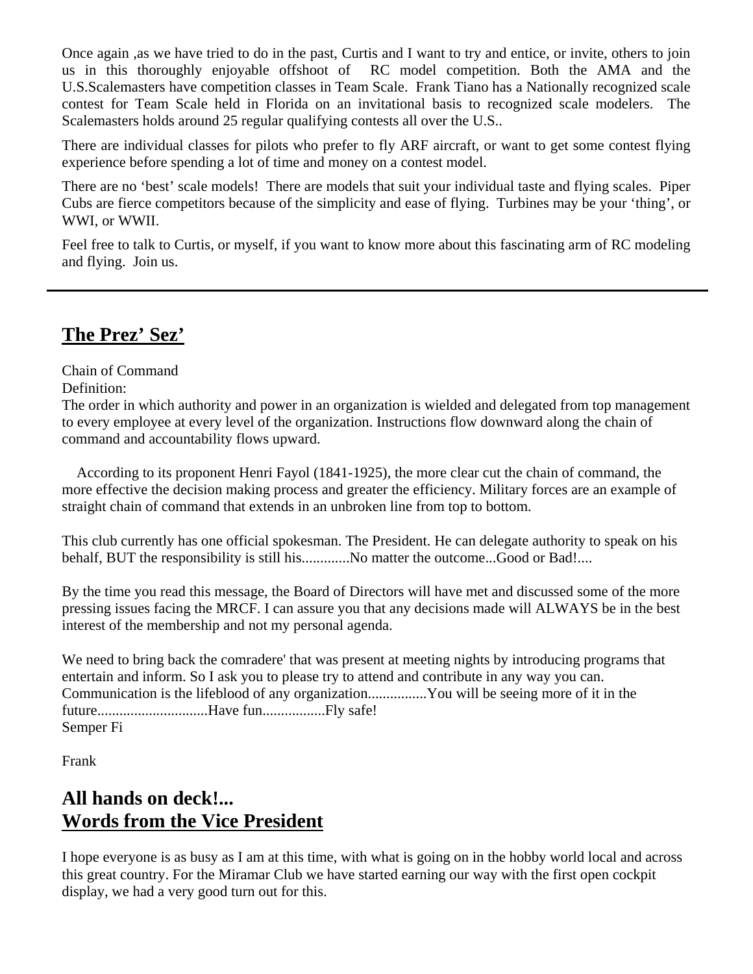Once again ,as we have tried to do in the past, Curtis and I want to try and entice, or invite, others to join us in this thoroughly enjoyable offshoot of RC model competition. Both the AMA and the U.S.Scalemasters have competition classes in Team Scale. Frank Tiano has a Nationally recognized scale contest for Team Scale held in Florida on an invitational basis to recognized scale modelers. The Scalemasters holds around 25 regular qualifying contests all over the U.S..

There are individual classes for pilots who prefer to fly ARF aircraft, or want to get some contest flying experience before spending a lot of time and money on a contest model.

There are no 'best' scale models! There are models that suit your individual taste and flying scales. Piper Cubs are fierce competitors because of the simplicity and ease of flying. Turbines may be your 'thing', or WWI, or WWII.

Feel free to talk to Curtis, or myself, if you want to know more about this fascinating arm of RC modeling and flying. Join us.

### **The Prez' Sez'**

Chain of Command

Definition:

The order in which authority and power in an organization is wielded and delegated from top management to every employee at every level of the organization. Instructions flow downward along the chain of command and accountability flows upward.

 According to its proponent Henri Fayol (1841-1925), the more clear cut the chain of command, the more effective the decision making process and greater the efficiency. Military forces are an example of straight chain of command that extends in an unbroken line from top to bottom.

This club currently has one official spokesman. The President. He can delegate authority to speak on his behalf, BUT the responsibility is still his.............No matter the outcome...Good or Bad!....

By the time you read this message, the Board of Directors will have met and discussed some of the more pressing issues facing the MRCF. I can assure you that any decisions made will ALWAYS be in the best interest of the membership and not my personal agenda.

We need to bring back the comradere' that was present at meeting nights by introducing programs that entertain and inform. So I ask you to please try to attend and contribute in any way you can. Communication is the lifeblood of any organization................You will be seeing more of it in the future..............................Have fun.................Fly safe! Semper Fi

Frank

# **All hands on deck!... Words from the Vice President**

I hope everyone is as busy as I am at this time, with what is going on in the hobby world local and across this great country. For the Miramar Club we have started earning our way with the first open cockpit display, we had a very good turn out for this.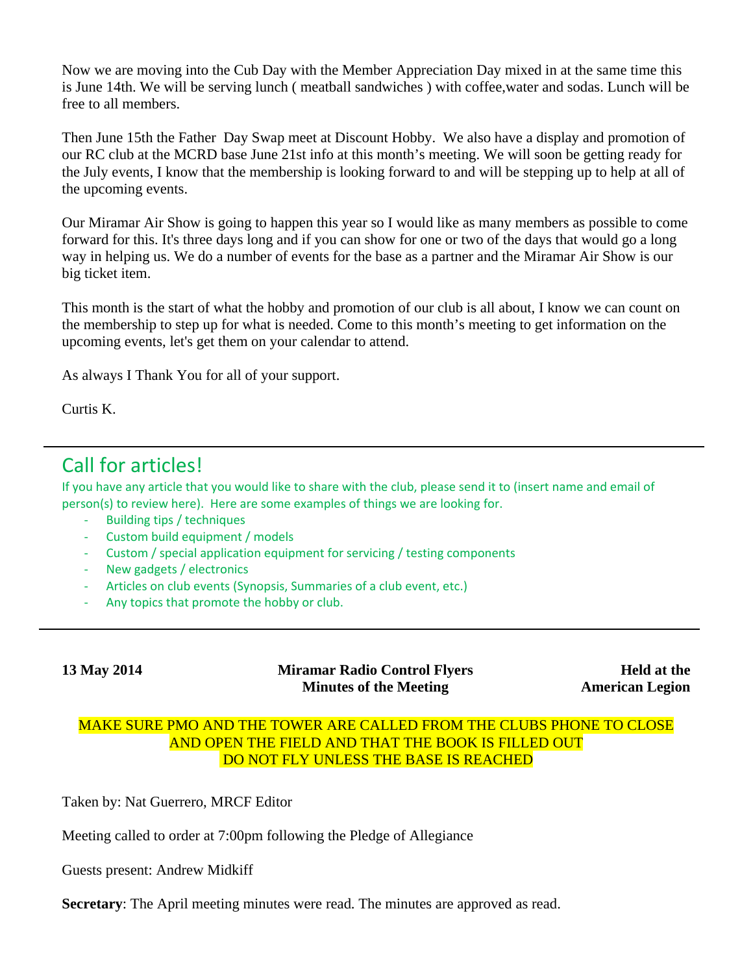Now we are moving into the Cub Day with the Member Appreciation Day mixed in at the same time this is June 14th. We will be serving lunch ( meatball sandwiches ) with coffee,water and sodas. Lunch will be free to all members.

Then June 15th the Father Day Swap meet at Discount Hobby. We also have a display and promotion of our RC club at the MCRD base June 21st info at this month's meeting. We will soon be getting ready for the July events, I know that the membership is looking forward to and will be stepping up to help at all of the upcoming events.

Our Miramar Air Show is going to happen this year so I would like as many members as possible to come forward for this. It's three days long and if you can show for one or two of the days that would go a long way in helping us. We do a number of events for the base as a partner and the Miramar Air Show is our big ticket item.

This month is the start of what the hobby and promotion of our club is all about, I know we can count on the membership to step up for what is needed. Come to this month's meeting to get information on the upcoming events, let's get them on your calendar to attend.

As always I Thank You for all of your support.

Curtis K.

# Call for articles!

If you have any article that you would like to share with the club, please send it to (insert name and email of person(s) to review here). Here are some examples of things we are looking for.

- ‐ Building tips / techniques
- ‐ Custom build equipment / models
- Custom / special application equipment for servicing / testing components
- ‐ New gadgets / electronics
- ‐ Articles on club events (Synopsis, Summaries of a club event, etc.)
- Any topics that promote the hobby or club.

**13 May 2014 Miramar Radio Control Flyers Minutes of the Meeting** 

**Held at the American Legion**

#### MAKE SURE PMO AND THE TOWER ARE CALLED FROM THE CLUBS PHONE TO CLOSE AND OPEN THE FIELD AND THAT THE BOOK IS FILLED OUT DO NOT FLY UNLESS THE BASE IS REACHED

Taken by: Nat Guerrero, MRCF Editor

Meeting called to order at 7:00pm following the Pledge of Allegiance

Guests present: Andrew Midkiff

**Secretary**: The April meeting minutes were read. The minutes are approved as read.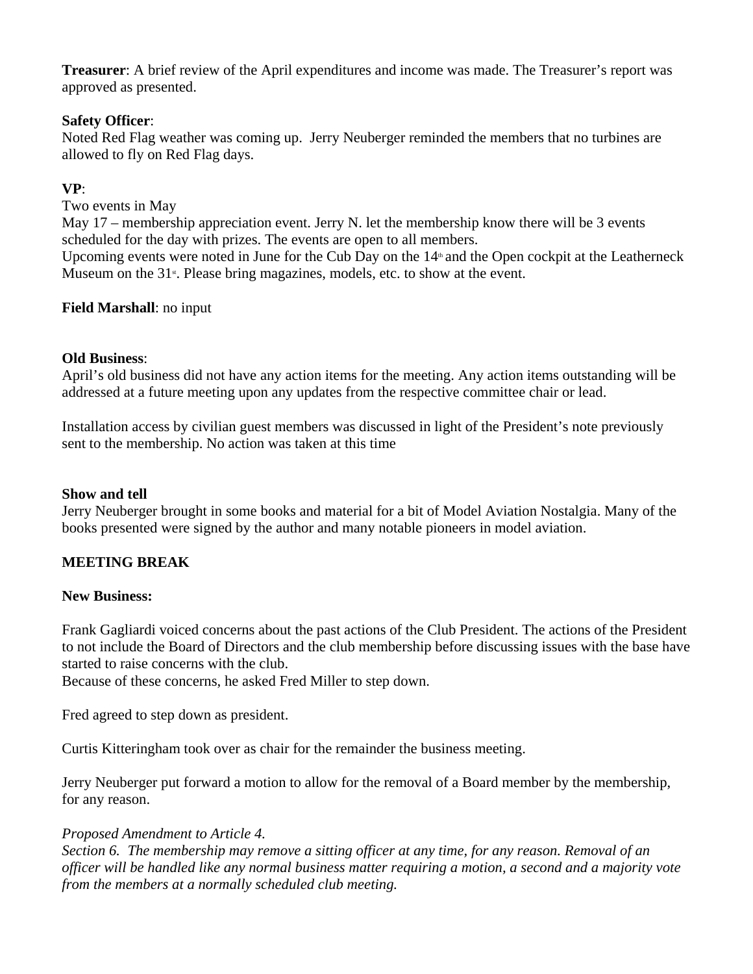**Treasurer**: A brief review of the April expenditures and income was made. The Treasurer's report was approved as presented.

#### **Safety Officer**:

Noted Red Flag weather was coming up. Jerry Neuberger reminded the members that no turbines are allowed to fly on Red Flag days.

#### **VP**:

Two events in May

May 17 – membership appreciation event. Jerry N. let the membership know there will be 3 events scheduled for the day with prizes. The events are open to all members.

Upcoming events were noted in June for the Cub Day on the  $14<sup>th</sup>$  and the Open cockpit at the Leatherneck Museum on the  $31<sup>*</sup>$ . Please bring magazines, models, etc. to show at the event.

#### **Field Marshall**: no input

#### **Old Business**:

April's old business did not have any action items for the meeting. Any action items outstanding will be addressed at a future meeting upon any updates from the respective committee chair or lead.

Installation access by civilian guest members was discussed in light of the President's note previously sent to the membership. No action was taken at this time

#### **Show and tell**

Jerry Neuberger brought in some books and material for a bit of Model Aviation Nostalgia. Many of the books presented were signed by the author and many notable pioneers in model aviation.

### **MEETING BREAK**

#### **New Business:**

Frank Gagliardi voiced concerns about the past actions of the Club President. The actions of the President to not include the Board of Directors and the club membership before discussing issues with the base have started to raise concerns with the club.

Because of these concerns, he asked Fred Miller to step down.

Fred agreed to step down as president.

Curtis Kitteringham took over as chair for the remainder the business meeting.

Jerry Neuberger put forward a motion to allow for the removal of a Board member by the membership, for any reason.

#### *Proposed Amendment to Article 4.*

*Section 6. The membership may remove a sitting officer at any time, for any reason. Removal of an officer will be handled like any normal business matter requiring a motion, a second and a majority vote from the members at a normally scheduled club meeting.*